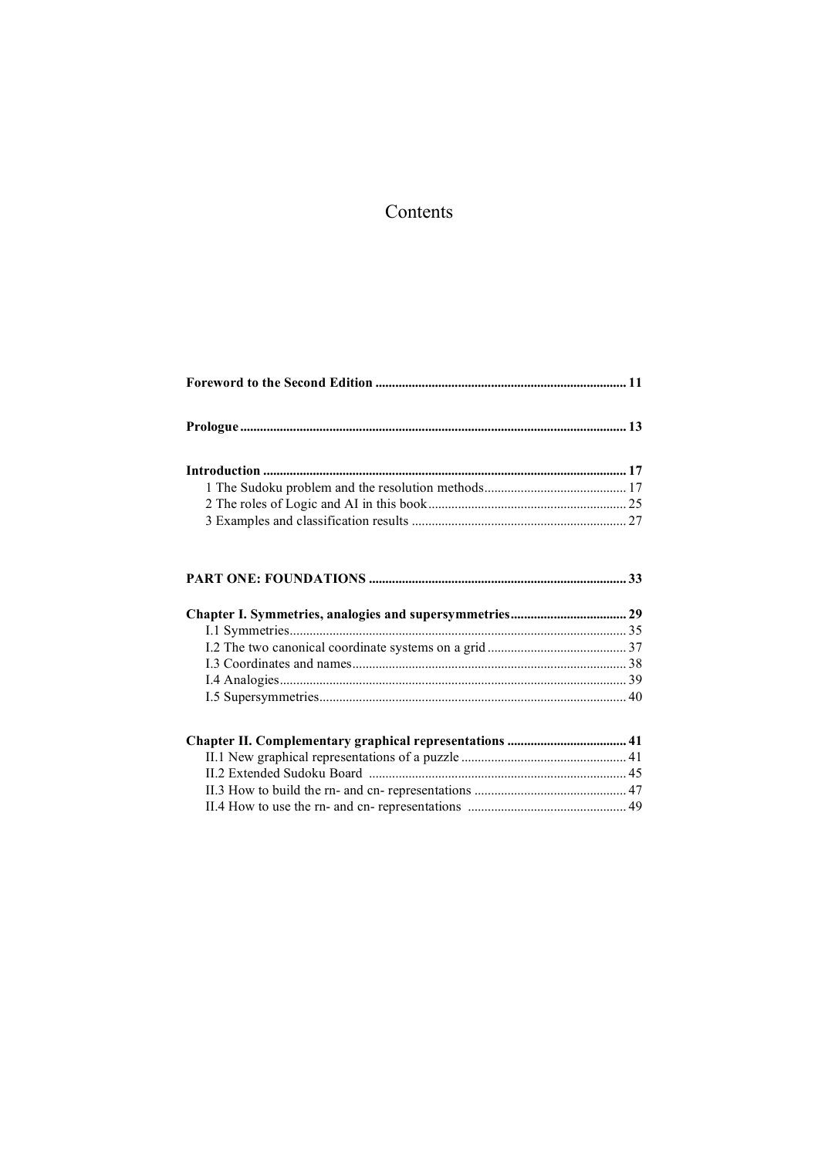## Contents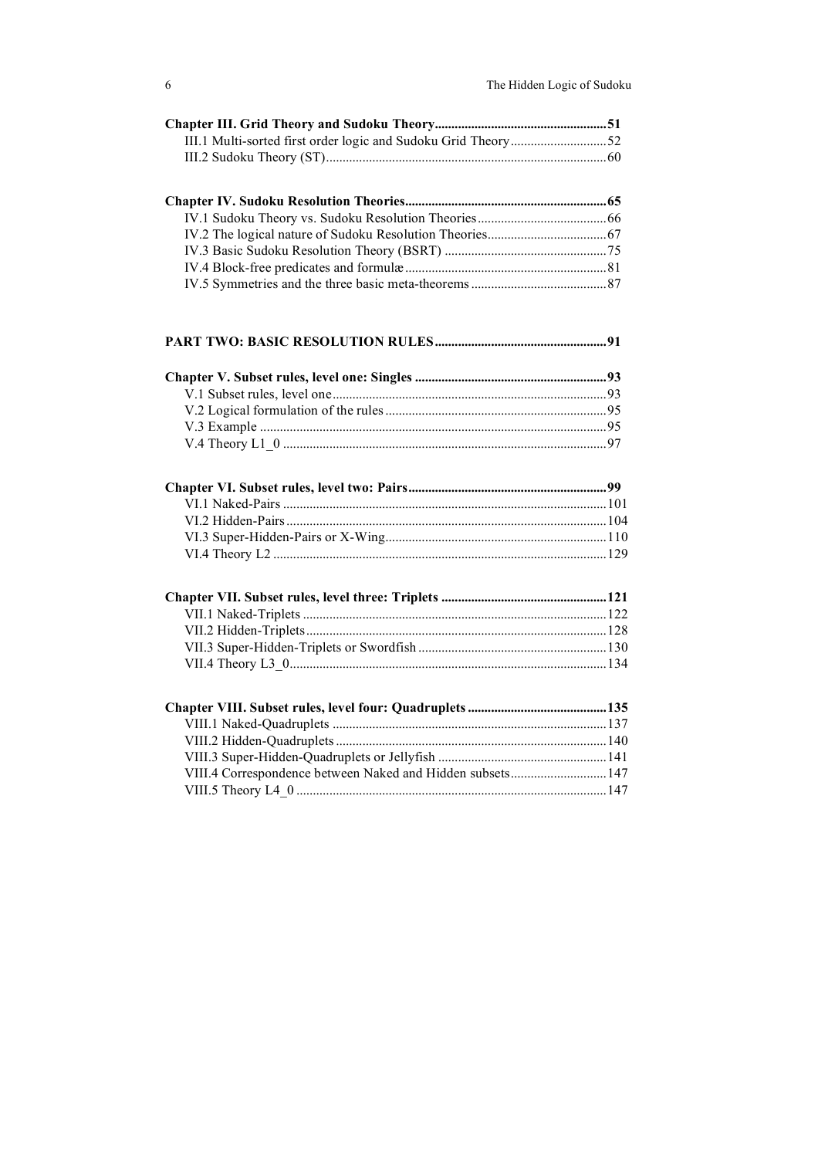## **PART TWO: BASIC RESOLUTION RULES....................................................91**

| VIII.4 Correspondence between Naked and Hidden subsets 147 |  |  |
|------------------------------------------------------------|--|--|
|                                                            |  |  |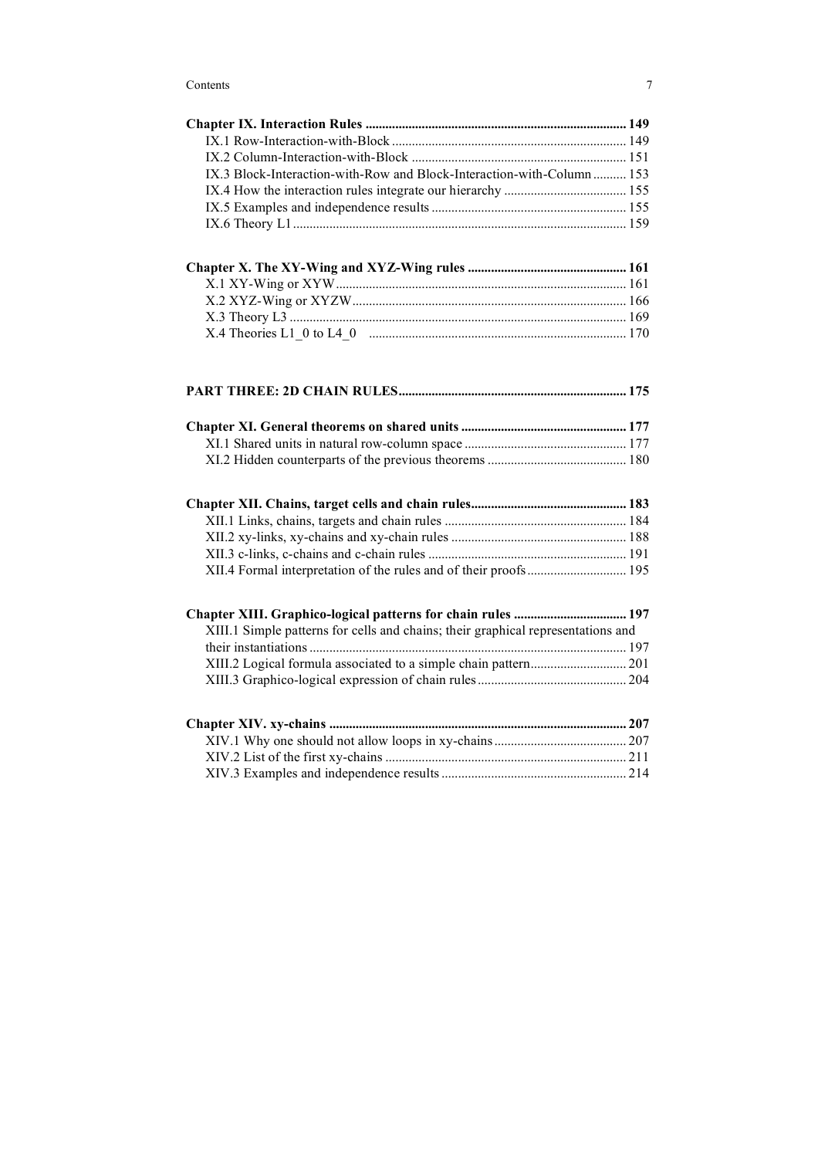| IX.3 Block-Interaction-with-Row and Block-Interaction-with-Column 153 |  |
|-----------------------------------------------------------------------|--|
|                                                                       |  |
|                                                                       |  |
|                                                                       |  |
|                                                                       |  |

| XIII.1 Simple patterns for cells and chains; their graphical representations and |  |
|----------------------------------------------------------------------------------|--|
|                                                                                  |  |
|                                                                                  |  |
|                                                                                  |  |
|                                                                                  |  |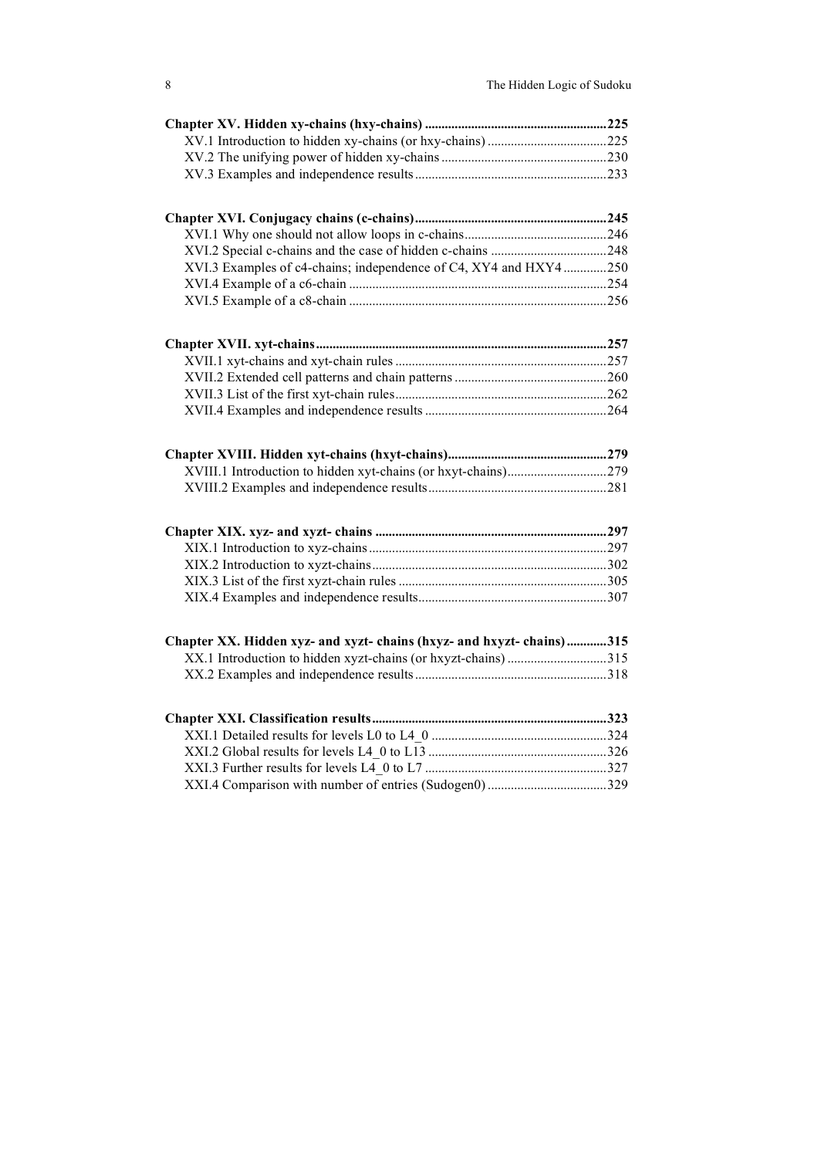| XVI.3 Examples of c4-chains; independence of C4, XY4 and HXY4 250     |  |
|-----------------------------------------------------------------------|--|
|                                                                       |  |
|                                                                       |  |
|                                                                       |  |
|                                                                       |  |
|                                                                       |  |
|                                                                       |  |
|                                                                       |  |
|                                                                       |  |
|                                                                       |  |
|                                                                       |  |
|                                                                       |  |
|                                                                       |  |
|                                                                       |  |
|                                                                       |  |
|                                                                       |  |
| Chapter XX. Hidden xyz- and xyzt- chains (hxyz- and hxyzt- chains)315 |  |
| XX.1 Introduction to hidden xyzt-chains (or hxyzt-chains) 315         |  |
|                                                                       |  |
|                                                                       |  |
|                                                                       |  |
|                                                                       |  |
|                                                                       |  |
|                                                                       |  |